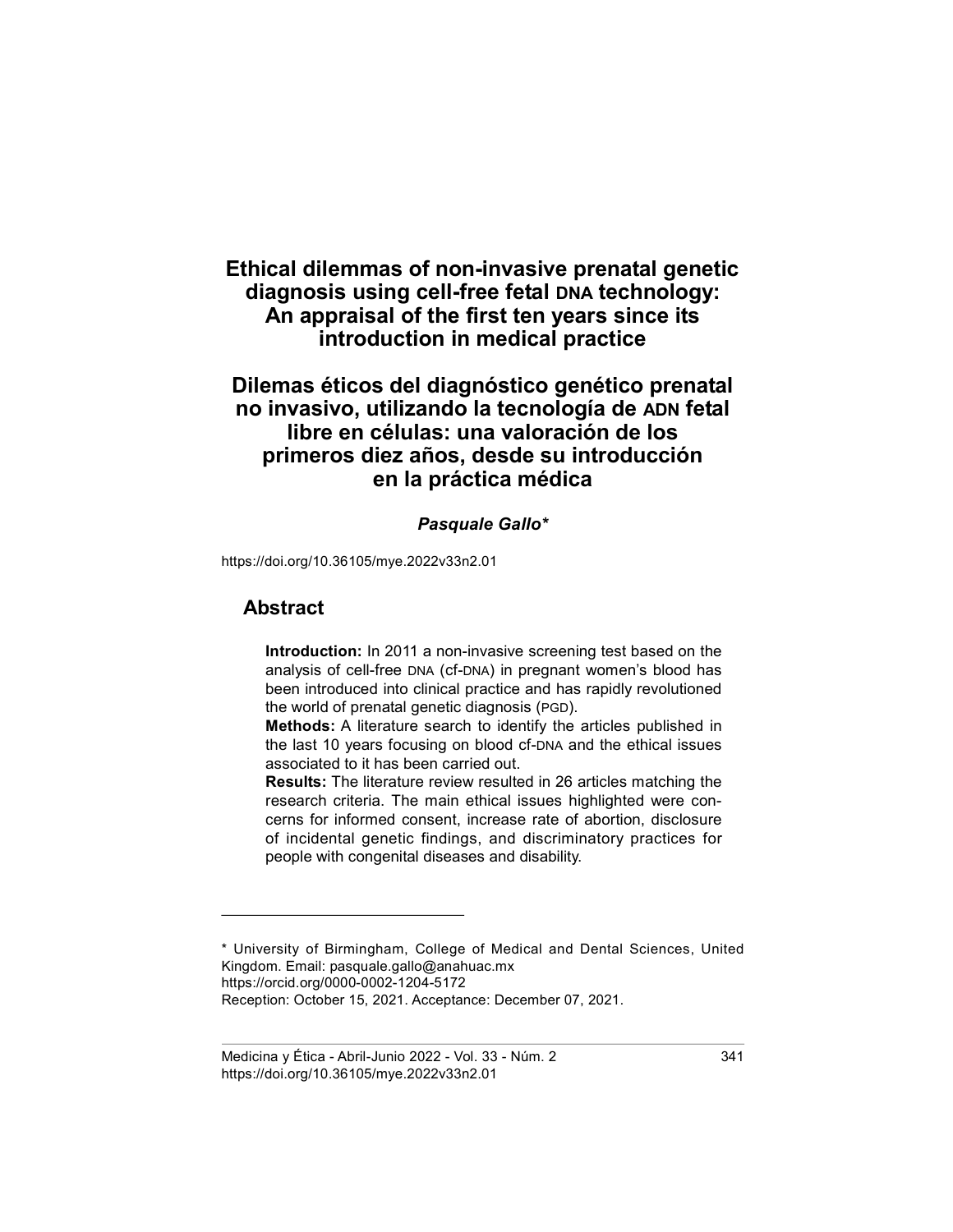# Ethical dilemmas of non-invasive prenatal genetic diagnosis using cell-free fetal DNA technology: An appraisal of the first ten years since its introduction in medical practice

# Dilemas éticos del diagnóstico genético prenatal no invasivo, utilizando la tecnología de ADN fetal libre en células: una valoración de los primeros diez años, desde su introducción en la práctica médica

#### Pasquale Gallo\*

https://doi.org/10.36105/mye.2022v33n2.01

## Abstract

Introduction: In 2011 a non-invasive screening test based on the analysis of cell-free DNA (cf-DNA) in pregnant women's blood has been introduced into clinical practice and has rapidly revolutioned the world of prenatal genetic diagnosis (PGD).

Methods: A literature search to identify the articles published in the last 10 years focusing on blood cf-DNA and the ethical issues associated to it has been carried out.

Results: The literature review resulted in 26 articles matching the research criteria. The main ethical issues highlighted were concerns for informed consent, increase rate of abortion, disclosure of incidental genetic findings, and discriminatory practices for people with congenital diseases and disability.

<sup>\*</sup> University of Birmingham, College of Medical and Dental Sciences, United Kingdom. Email: pasquale.gallo@anahuac.mx https://orcid.org/0000-0002-1204-5172 Reception: October 15, 2021. Acceptance: December 07, 2021.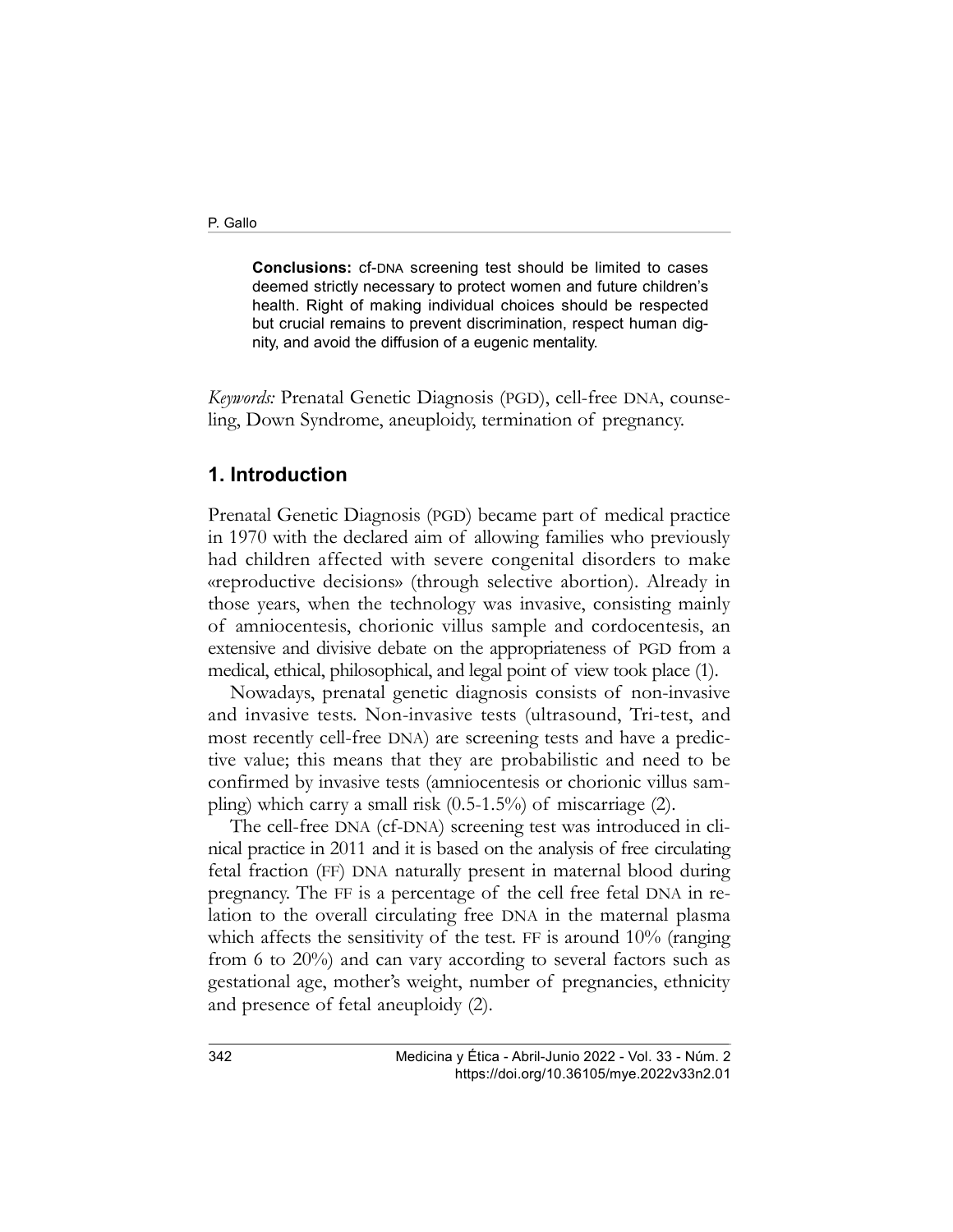Conclusions: cf-DNA screening test should be limited to cases deemed strictly necessary to protect women and future children's health. Right of making individual choices should be respected but crucial remains to prevent discrimination, respect human dignity, and avoid the diffusion of a eugenic mentality.

Keywords: Prenatal Genetic Diagnosis (PGD), cell-free DNA, counseling, Down Syndrome, aneuploidy, termination of pregnancy.

### 1. Introduction

Prenatal Genetic Diagnosis (PGD) became part of medical practice in 1970 with the declared aim of allowing families who previously had children affected with severe congenital disorders to make «reproductive decisions» (through selective abortion). Already in those years, when the technology was invasive, consisting mainly of amniocentesis, chorionic villus sample and cordocentesis, an extensive and divisive debate on the appropriateness of PGD from a medical, ethical, philosophical, and legal point of view took place (1).

Nowadays, prenatal genetic diagnosis consists of non-invasive and invasive tests. Non-invasive tests (ultrasound, Tri-test, and most recently cell-free DNA) are screening tests and have a predictive value; this means that they are probabilistic and need to be confirmed by invasive tests (amniocentesis or chorionic villus sampling) which carry a small risk  $(0.5{\text -}1.5\%)$  of miscarriage  $(2)$ .

The cell-free DNA (cf-DNA) screening test was introduced in clinical practice in 2011 and it is based on the analysis of free circulating fetal fraction (FF) DNA naturally present in maternal blood during pregnancy. The FF is a percentage of the cell free fetal DNA in relation to the overall circulating free DNA in the maternal plasma which affects the sensitivity of the test. FF is around  $10\%$  (ranging from 6 to 20%) and can vary according to several factors such as gestational age, mother's weight, number of pregnancies, ethnicity and presence of fetal aneuploidy (2).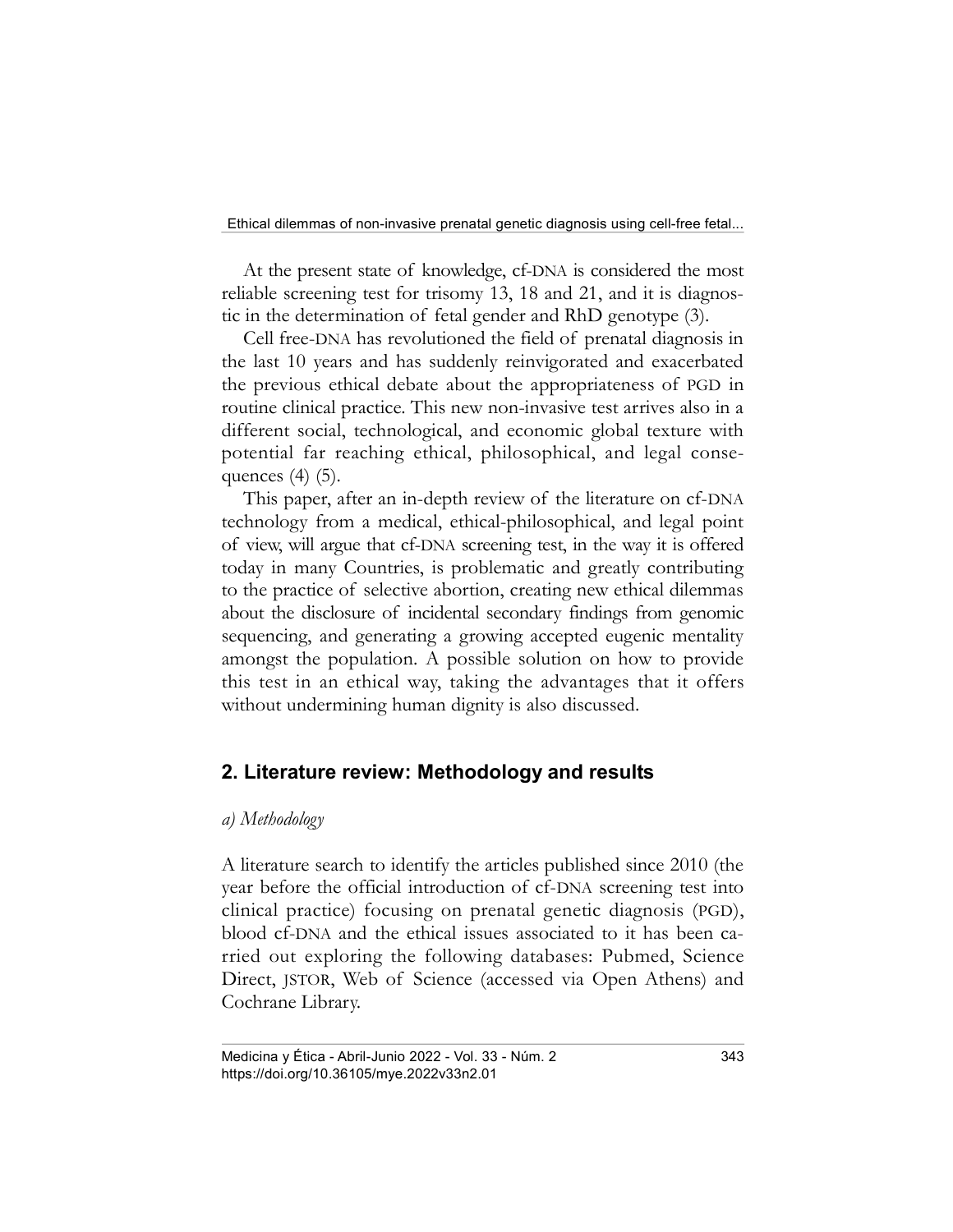At the present state of knowledge, cf-DNA is considered the most reliable screening test for trisomy 13, 18 and 21, and it is diagnostic in the determination of fetal gender and RhD genotype (3).

Cell free-DNA has revolutioned the field of prenatal diagnosis in the last 10 years and has suddenly reinvigorated and exacerbated the previous ethical debate about the appropriateness of PGD in routine clinical practice. This new non-invasive test arrives also in a different social, technological, and economic global texture with potential far reaching ethical, philosophical, and legal consequences (4) (5).

This paper, after an in-depth review of the literature on cf-DNA technology from a medical, ethical-philosophical, and legal point of view, will argue that cf-DNA screening test, in the way it is offered today in many Countries, is problematic and greatly contributing to the practice of selective abortion, creating new ethical dilemmas about the disclosure of incidental secondary findings from genomic sequencing, and generating a growing accepted eugenic mentality amongst the population. A possible solution on how to provide this test in an ethical way, taking the advantages that it offers without undermining human dignity is also discussed.

## 2. Literature review: Methodology and results

#### a) Methodology

A literature search to identify the articles published since 2010 (the year before the official introduction of cf-DNA screening test into clinical practice) focusing on prenatal genetic diagnosis (PGD), blood cf-DNA and the ethical issues associated to it has been carried out exploring the following databases: Pubmed, Science Direct, JSTOR, Web of Science (accessed via Open Athens) and Cochrane Library.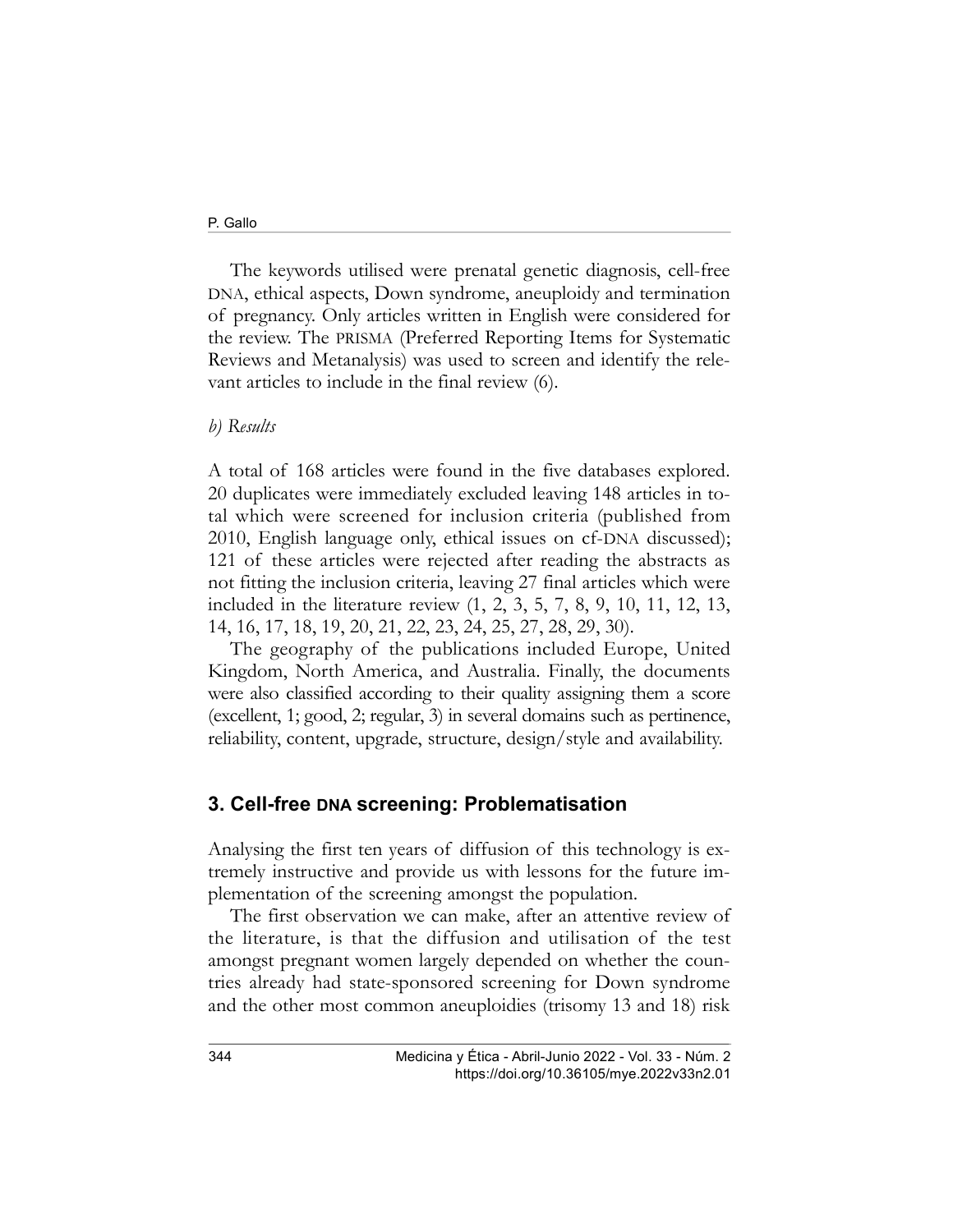#### P. Gallo

The keywords utilised were prenatal genetic diagnosis, cell-free DNA, ethical aspects, Down syndrome, aneuploidy and termination of pregnancy. Only articles written in English were considered for the review. The PRISMA (Preferred Reporting Items for Systematic Reviews and Metanalysis) was used to screen and identify the relevant articles to include in the final review (6).

#### b) Results

A total of 168 articles were found in the five databases explored. 20 duplicates were immediately excluded leaving 148 articles in total which were screened for inclusion criteria (published from 2010, English language only, ethical issues on cf-DNA discussed); 121 of these articles were rejected after reading the abstracts as not fitting the inclusion criteria, leaving 27 final articles which were included in the literature review (1, 2, 3, 5, 7, 8, 9, 10, 11, 12, 13, 14, 16, 17, 18, 19, 20, 21, 22, 23, 24, 25, 27, 28, 29, 30).

The geography of the publications included Europe, United Kingdom, North America, and Australia. Finally, the documents were also classified according to their quality assigning them a score (excellent, 1; good, 2; regular, 3) in several domains such as pertinence, reliability, content, upgrade, structure, design/style and availability.

#### 3. Cell-free DNA screening: Problematisation

Analysing the first ten years of diffusion of this technology is extremely instructive and provide us with lessons for the future implementation of the screening amongst the population.

The first observation we can make, after an attentive review of the literature, is that the diffusion and utilisation of the test amongst pregnant women largely depended on whether the countries already had state-sponsored screening for Down syndrome and the other most common aneuploidies (trisomy 13 and 18) risk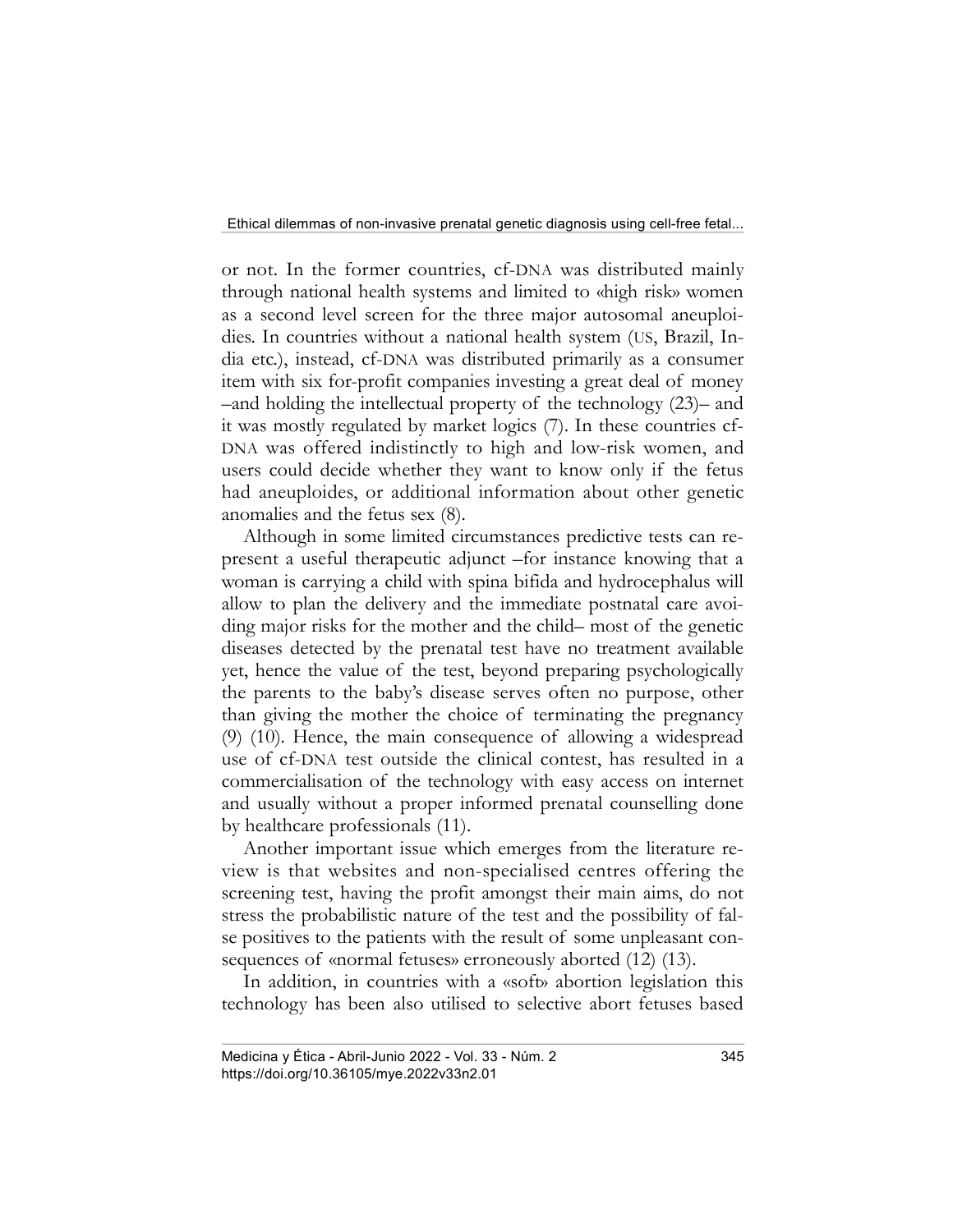or not. In the former countries, cf-DNA was distributed mainly through national health systems and limited to «high risk» women as a second level screen for the three major autosomal aneuploidies. In countries without a national health system (US, Brazil, India etc.), instead, cf-DNA was distributed primarily as a consumer item with six for-profit companies investing a great deal of money –and holding the intellectual property of the technology (23)– and it was mostly regulated by market logics (7). In these countries cf-DNA was offered indistinctly to high and low-risk women, and users could decide whether they want to know only if the fetus had aneuploides, or additional information about other genetic anomalies and the fetus sex (8).

Although in some limited circumstances predictive tests can represent a useful therapeutic adjunct –for instance knowing that a woman is carrying a child with spina bifida and hydrocephalus will allow to plan the delivery and the immediate postnatal care avoiding major risks for the mother and the child– most of the genetic diseases detected by the prenatal test have no treatment available yet, hence the value of the test, beyond preparing psychologically the parents to the baby's disease serves often no purpose, other than giving the mother the choice of terminating the pregnancy (9) (10). Hence, the main consequence of allowing a widespread use of cf-DNA test outside the clinical contest, has resulted in a commercialisation of the technology with easy access on internet and usually without a proper informed prenatal counselling done by healthcare professionals (11).

Another important issue which emerges from the literature review is that websites and non-specialised centres offering the screening test, having the profit amongst their main aims, do not stress the probabilistic nature of the test and the possibility of false positives to the patients with the result of some unpleasant consequences of «normal fetuses» erroneously aborted (12) (13).

In addition, in countries with a «soft» abortion legislation this technology has been also utilised to selective abort fetuses based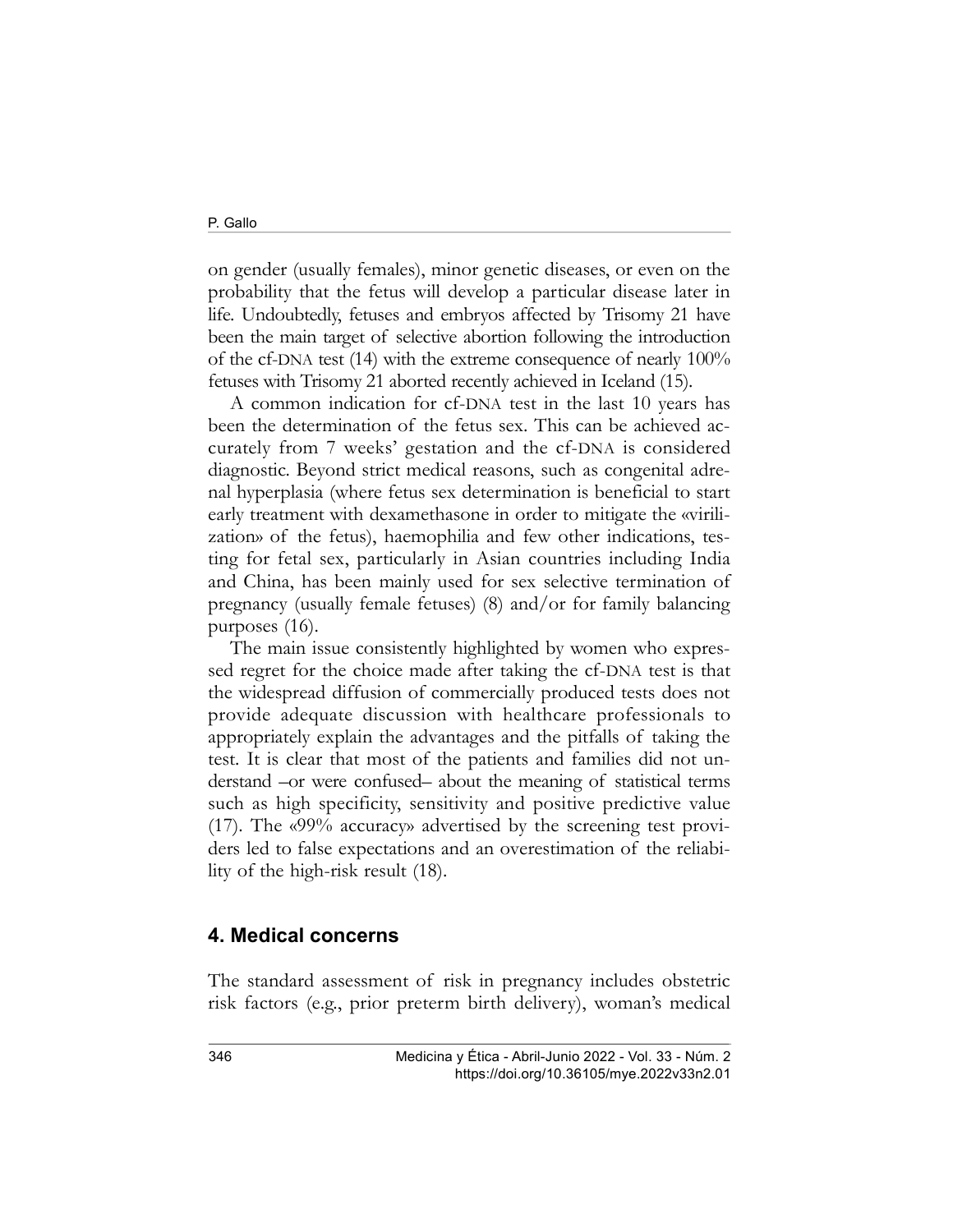on gender (usually females), minor genetic diseases, or even on the probability that the fetus will develop a particular disease later in life. Undoubtedly, fetuses and embryos affected by Trisomy 21 have been the main target of selective abortion following the introduction of the cf-DNA test (14) with the extreme consequence of nearly 100% fetuses with Trisomy 21 aborted recently achieved in Iceland (15).

A common indication for cf-DNA test in the last 10 years has been the determination of the fetus sex. This can be achieved accurately from 7 weeks' gestation and the cf-DNA is considered diagnostic. Beyond strict medical reasons, such as congenital adrenal hyperplasia (where fetus sex determination is beneficial to start early treatment with dexamethasone in order to mitigate the «virilization» of the fetus), haemophilia and few other indications, testing for fetal sex, particularly in Asian countries including India and China, has been mainly used for sex selective termination of pregnancy (usually female fetuses) (8) and/or for family balancing purposes (16).

The main issue consistently highlighted by women who expressed regret for the choice made after taking the cf-DNA test is that the widespread diffusion of commercially produced tests does not provide adequate discussion with healthcare professionals to appropriately explain the advantages and the pitfalls of taking the test. It is clear that most of the patients and families did not understand –or were confused– about the meaning of statistical terms such as high specificity, sensitivity and positive predictive value (17). The «99% accuracy» advertised by the screening test providers led to false expectations and an overestimation of the reliability of the high-risk result (18).

#### 4. Medical concerns

The standard assessment of risk in pregnancy includes obstetric risk factors (e.g., prior preterm birth delivery), woman's medical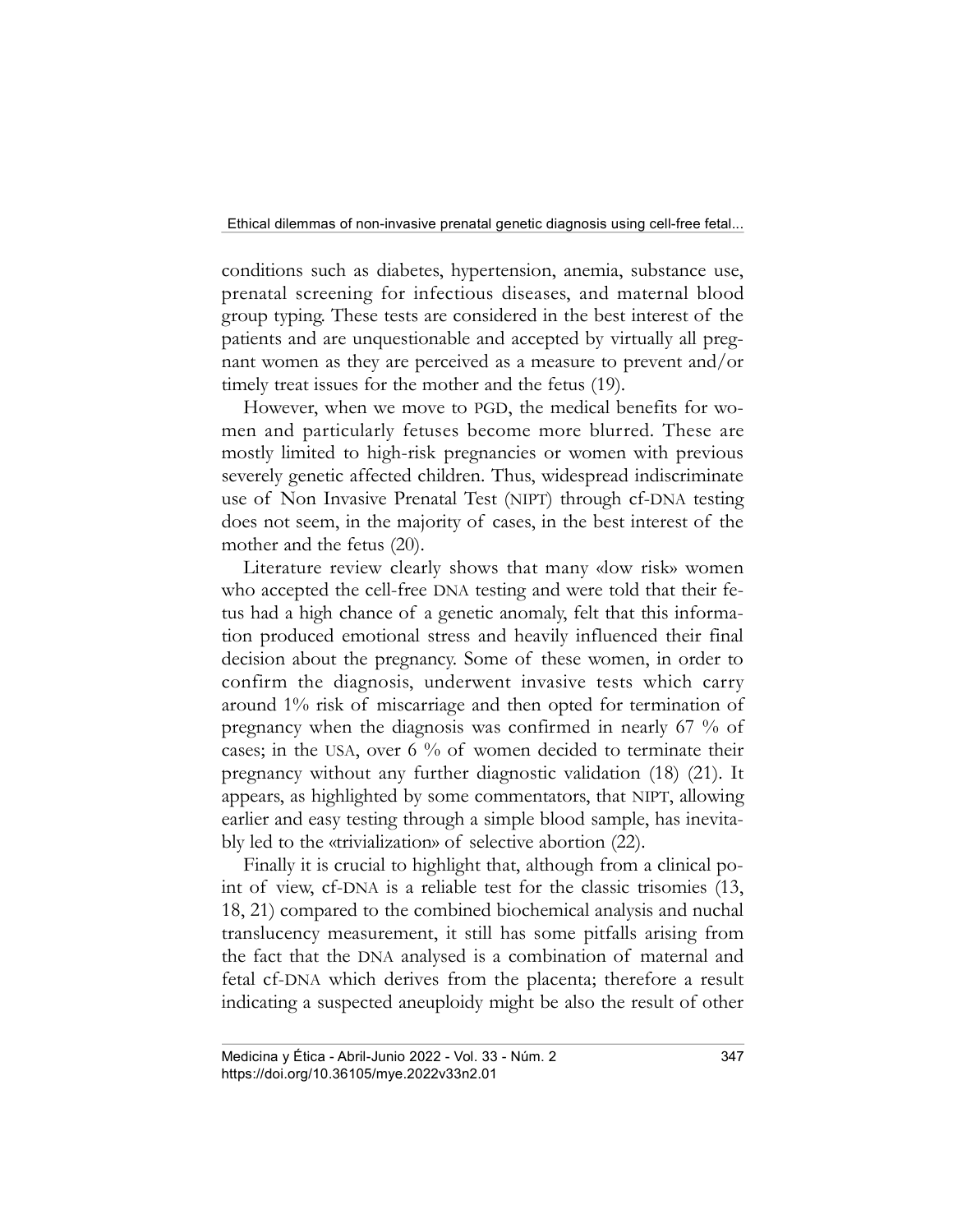conditions such as diabetes, hypertension, anemia, substance use, prenatal screening for infectious diseases, and maternal blood group typing. These tests are considered in the best interest of the patients and are unquestionable and accepted by virtually all pregnant women as they are perceived as a measure to prevent and/or timely treat issues for the mother and the fetus (19).

However, when we move to PGD, the medical benefits for women and particularly fetuses become more blurred. These are mostly limited to high-risk pregnancies or women with previous severely genetic affected children. Thus, widespread indiscriminate use of Non Invasive Prenatal Test (NIPT) through cf-DNA testing does not seem, in the majority of cases, in the best interest of the mother and the fetus (20).

Literature review clearly shows that many «low risk» women who accepted the cell-free DNA testing and were told that their fetus had a high chance of a genetic anomaly, felt that this information produced emotional stress and heavily influenced their final decision about the pregnancy. Some of these women, in order to confirm the diagnosis, underwent invasive tests which carry around 1% risk of miscarriage and then opted for termination of pregnancy when the diagnosis was confirmed in nearly 67 % of cases; in the USA, over 6 % of women decided to terminate their pregnancy without any further diagnostic validation (18) (21). It appears, as highlighted by some commentators, that NIPT, allowing earlier and easy testing through a simple blood sample, has inevitably led to the «trivialization» of selective abortion (22).

Finally it is crucial to highlight that, although from a clinical point of view, cf-DNA is a reliable test for the classic trisomies (13, 18, 21) compared to the combined biochemical analysis and nuchal translucency measurement, it still has some pitfalls arising from the fact that the DNA analysed is a combination of maternal and fetal cf-DNA which derives from the placenta; therefore a result indicating a suspected aneuploidy might be also the result of other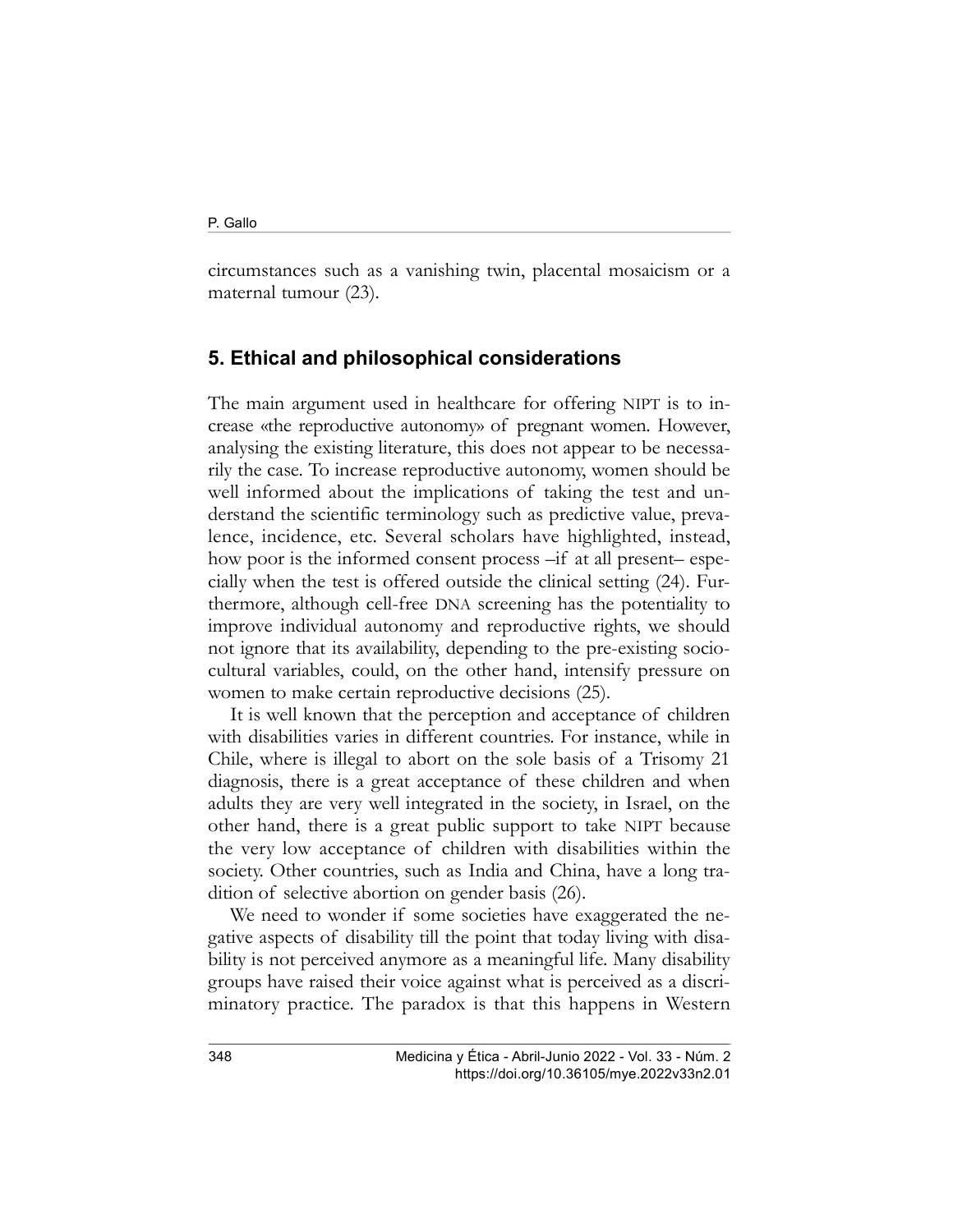circumstances such as a vanishing twin, placental mosaicism or a maternal tumour (23).

### 5. Ethical and philosophical considerations

The main argument used in healthcare for offering NIPT is to increase «the reproductive autonomy» of pregnant women. However, analysing the existing literature, this does not appear to be necessarily the case. To increase reproductive autonomy, women should be well informed about the implications of taking the test and understand the scientific terminology such as predictive value, prevalence, incidence, etc. Several scholars have highlighted, instead, how poor is the informed consent process  $-$ if at all present– especially when the test is offered outside the clinical setting (24). Furthermore, although cell-free DNA screening has the potentiality to improve individual autonomy and reproductive rights, we should not ignore that its availability, depending to the pre-existing sociocultural variables, could, on the other hand, intensify pressure on women to make certain reproductive decisions (25).

It is well known that the perception and acceptance of children with disabilities varies in different countries. For instance, while in Chile, where is illegal to abort on the sole basis of a Trisomy 21 diagnosis, there is a great acceptance of these children and when adults they are very well integrated in the society, in Israel, on the other hand, there is a great public support to take NIPT because the very low acceptance of children with disabilities within the society. Other countries, such as India and China, have a long tradition of selective abortion on gender basis (26).

We need to wonder if some societies have exaggerated the negative aspects of disability till the point that today living with disability is not perceived anymore as a meaningful life. Many disability groups have raised their voice against what is perceived as a discriminatory practice. The paradox is that this happens in Western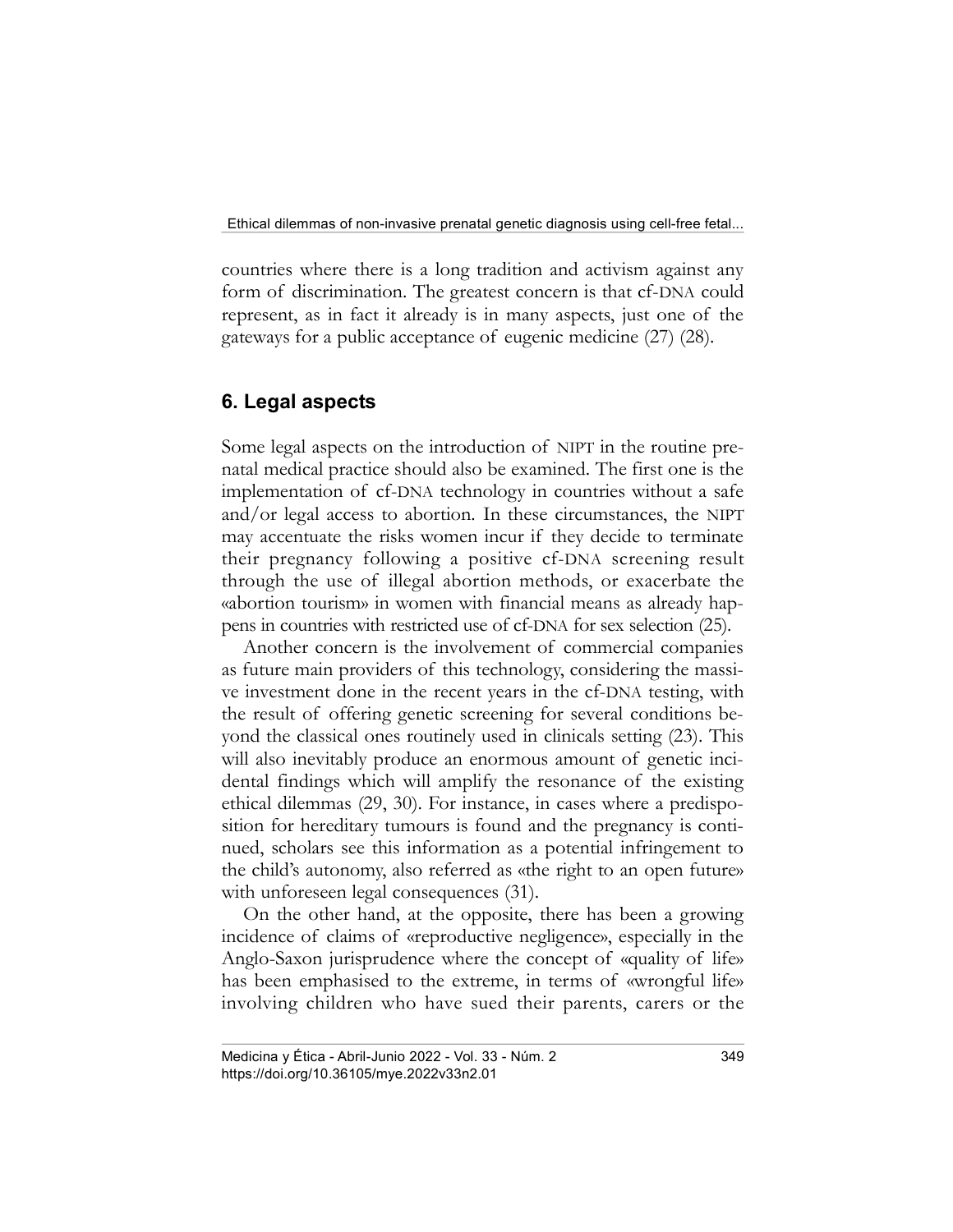countries where there is a long tradition and activism against any form of discrimination. The greatest concern is that cf-DNA could represent, as in fact it already is in many aspects, just one of the gateways for a public acceptance of eugenic medicine (27) (28).

# 6. Legal aspects

Some legal aspects on the introduction of NIPT in the routine prenatal medical practice should also be examined. The first one is the implementation of cf-DNA technology in countries without a safe and/or legal access to abortion. In these circumstances, the NIPT may accentuate the risks women incur if they decide to terminate their pregnancy following a positive cf-DNA screening result through the use of illegal abortion methods, or exacerbate the «abortion tourism» in women with financial means as already happens in countries with restricted use of cf-DNA for sex selection (25).

Another concern is the involvement of commercial companies as future main providers of this technology, considering the massive investment done in the recent years in the cf-DNA testing, with the result of offering genetic screening for several conditions beyond the classical ones routinely used in clinicals setting (23). This will also inevitably produce an enormous amount of genetic incidental findings which will amplify the resonance of the existing ethical dilemmas (29, 30). For instance, in cases where a predisposition for hereditary tumours is found and the pregnancy is continued, scholars see this information as a potential infringement to the child's autonomy, also referred as «the right to an open future» with unforeseen legal consequences (31).

On the other hand, at the opposite, there has been a growing incidence of claims of «reproductive negligence», especially in the Anglo-Saxon jurisprudence where the concept of «quality of life» has been emphasised to the extreme, in terms of «wrongful life» involving children who have sued their parents, carers or the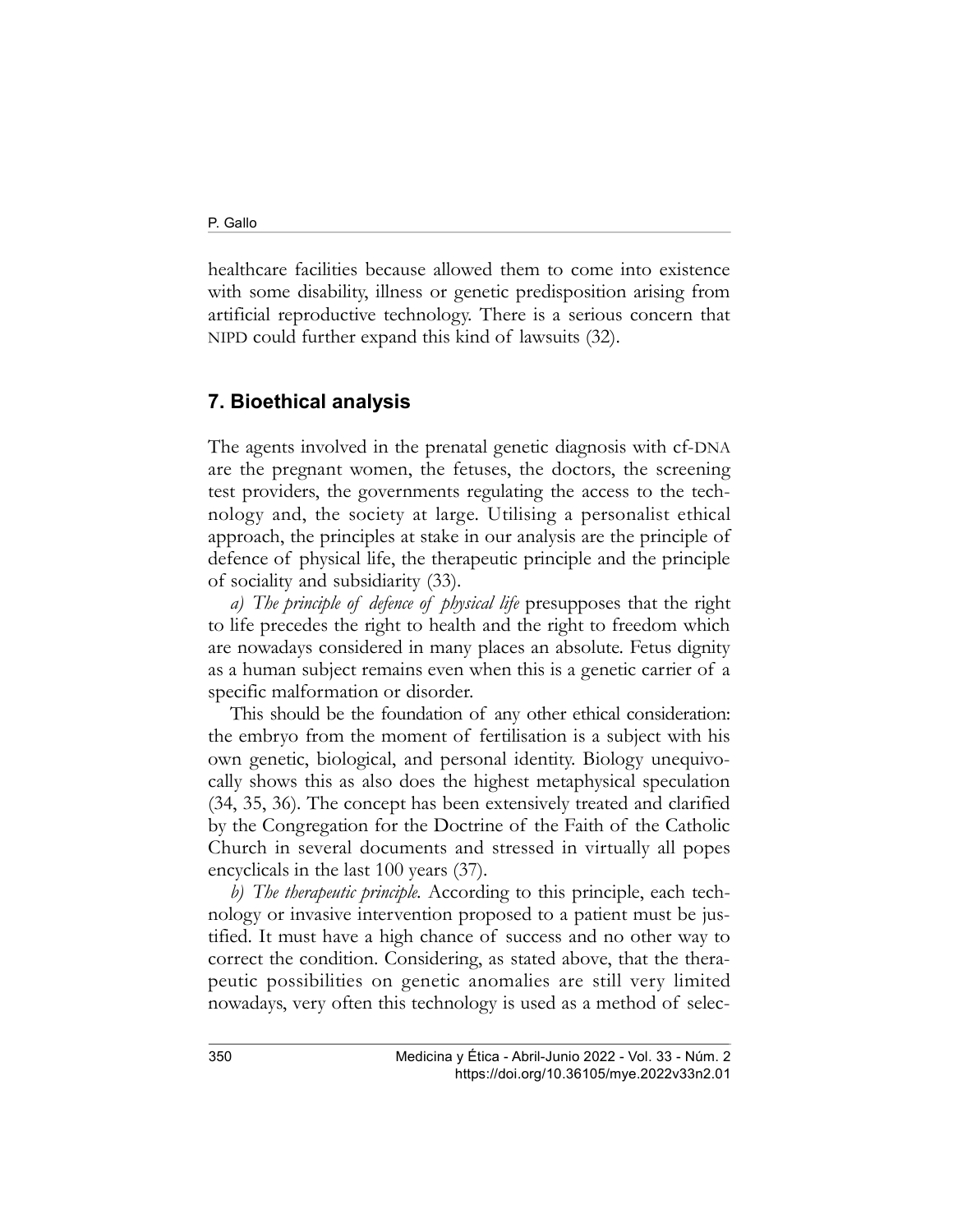healthcare facilities because allowed them to come into existence with some disability, illness or genetic predisposition arising from artificial reproductive technology. There is a serious concern that NIPD could further expand this kind of lawsuits (32).

# 7. Bioethical analysis

The agents involved in the prenatal genetic diagnosis with cf-DNA are the pregnant women, the fetuses, the doctors, the screening test providers, the governments regulating the access to the technology and, the society at large. Utilising a personalist ethical approach, the principles at stake in our analysis are the principle of defence of physical life, the therapeutic principle and the principle of sociality and subsidiarity (33).

a) The principle of defence of physical life presupposes that the right to life precedes the right to health and the right to freedom which are nowadays considered in many places an absolute. Fetus dignity as a human subject remains even when this is a genetic carrier of a specific malformation or disorder.

This should be the foundation of any other ethical consideration: the embryo from the moment of fertilisation is a subject with his own genetic, biological, and personal identity. Biology unequivocally shows this as also does the highest metaphysical speculation (34, 35, 36). The concept has been extensively treated and clarified by the Congregation for the Doctrine of the Faith of the Catholic Church in several documents and stressed in virtually all popes encyclicals in the last 100 years (37).

b) The therapeutic principle. According to this principle, each technology or invasive intervention proposed to a patient must be justified. It must have a high chance of success and no other way to correct the condition. Considering, as stated above, that the therapeutic possibilities on genetic anomalies are still very limited nowadays, very often this technology is used as a method of selec-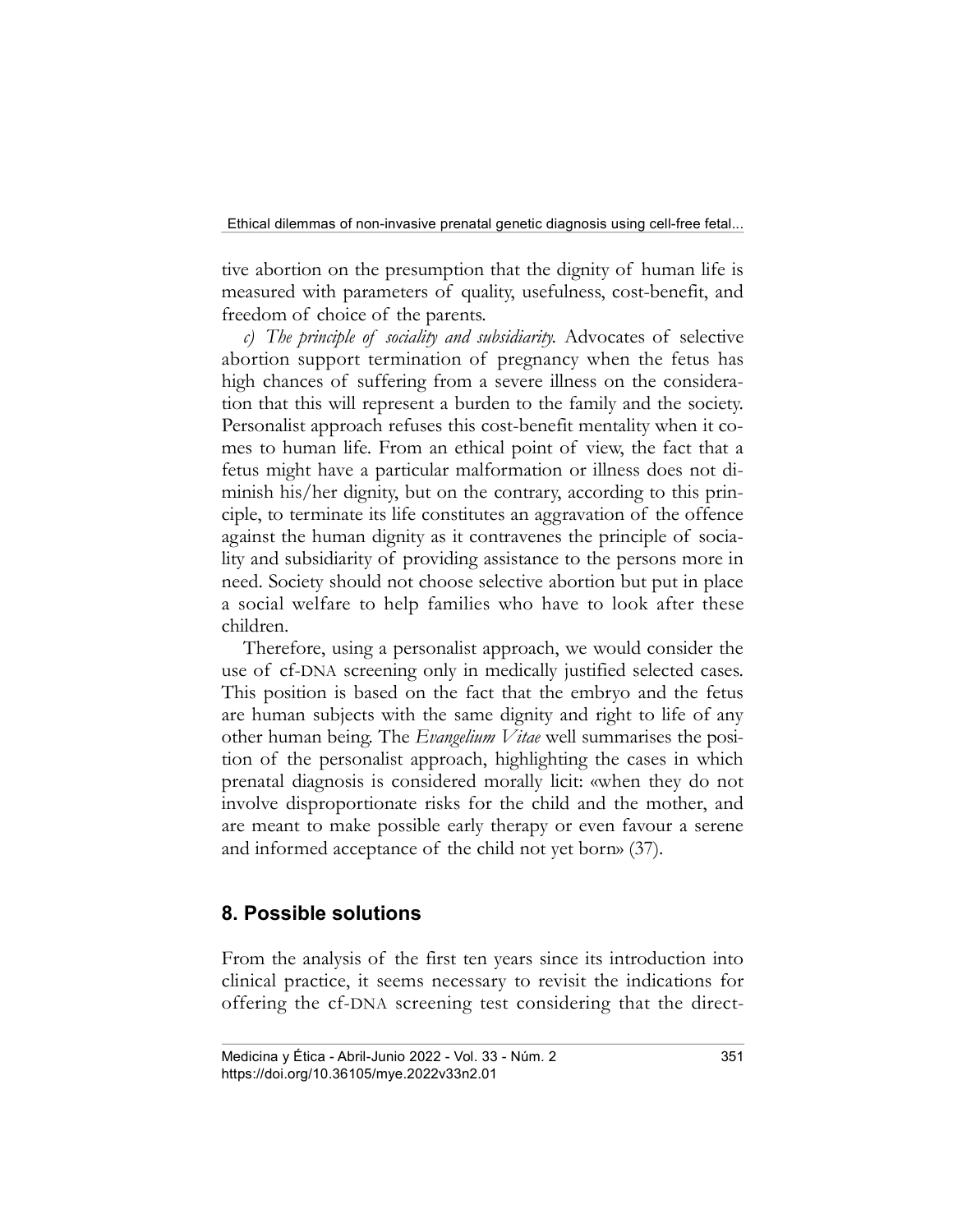tive abortion on the presumption that the dignity of human life is measured with parameters of quality, usefulness, cost-benefit, and freedom of choice of the parents.

c) The principle of sociality and subsidiarity. Advocates of selective abortion support termination of pregnancy when the fetus has high chances of suffering from a severe illness on the consideration that this will represent a burden to the family and the society. Personalist approach refuses this cost-benefit mentality when it comes to human life. From an ethical point of view, the fact that a fetus might have a particular malformation or illness does not diminish his/her dignity, but on the contrary, according to this principle, to terminate its life constitutes an aggravation of the offence against the human dignity as it contravenes the principle of sociality and subsidiarity of providing assistance to the persons more in need. Society should not choose selective abortion but put in place a social welfare to help families who have to look after these children.

Therefore, using a personalist approach, we would consider the use of cf-DNA screening only in medically justified selected cases. This position is based on the fact that the embryo and the fetus are human subjects with the same dignity and right to life of any other human being. The *Evangelium Vitae* well summarises the position of the personalist approach, highlighting the cases in which prenatal diagnosis is considered morally licit: «when they do not involve disproportionate risks for the child and the mother, and are meant to make possible early therapy or even favour a serene and informed acceptance of the child not yet born» (37).

## 8. Possible solutions

From the analysis of the first ten years since its introduction into clinical practice, it seems necessary to revisit the indications for offering the cf-DNA screening test considering that the direct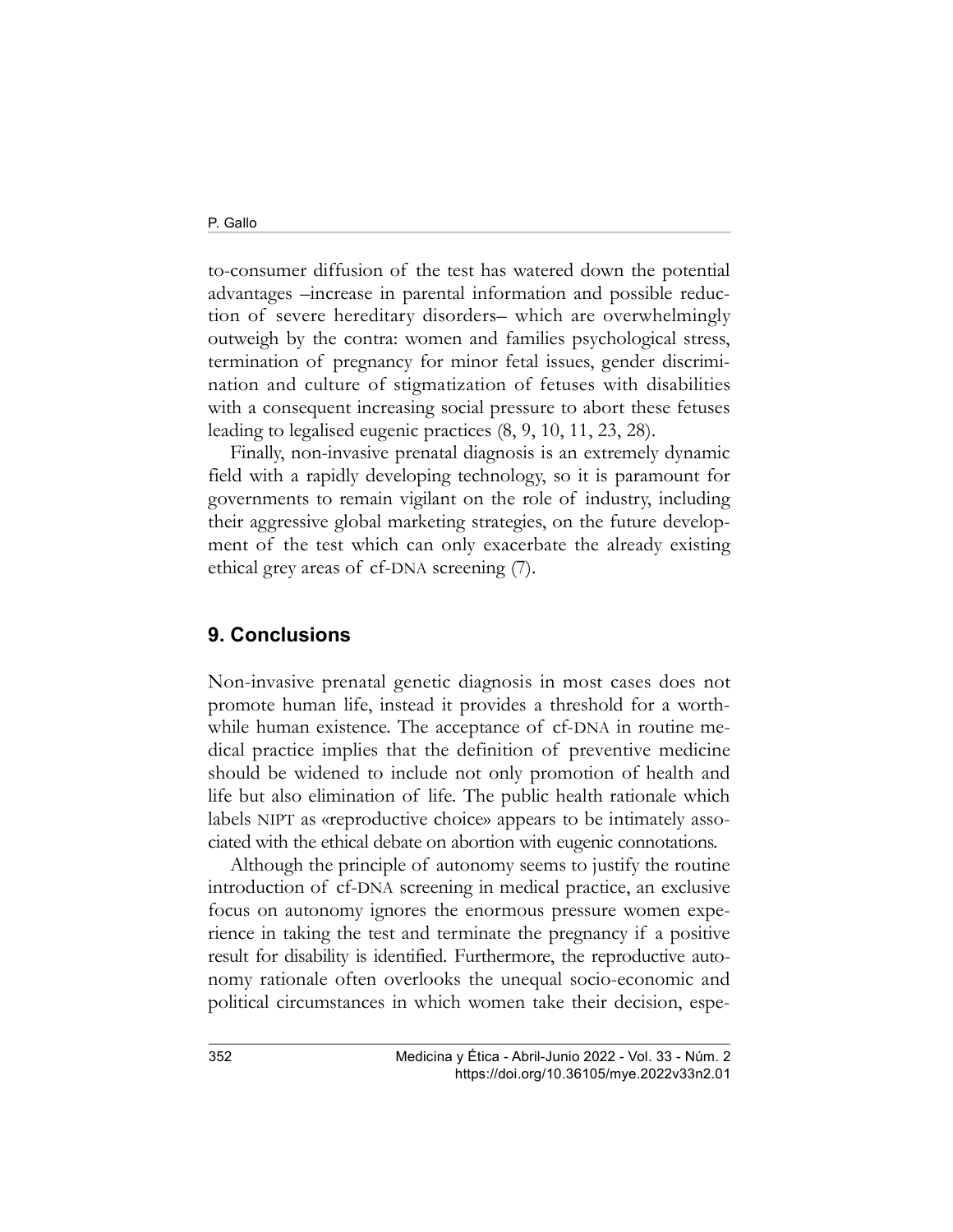to-consumer diffusion of the test has watered down the potential advantages –increase in parental information and possible reduction of severe hereditary disorders– which are overwhelmingly outweigh by the contra: women and families psychological stress, termination of pregnancy for minor fetal issues, gender discrimination and culture of stigmatization of fetuses with disabilities with a consequent increasing social pressure to abort these fetuses leading to legalised eugenic practices (8, 9, 10, 11, 23, 28).

Finally, non-invasive prenatal diagnosis is an extremely dynamic field with a rapidly developing technology, so it is paramount for governments to remain vigilant on the role of industry, including their aggressive global marketing strategies, on the future development of the test which can only exacerbate the already existing ethical grey areas of cf-DNA screening (7).

#### 9. Conclusions

Non-invasive prenatal genetic diagnosis in most cases does not promote human life, instead it provides a threshold for a worthwhile human existence. The acceptance of cf-DNA in routine medical practice implies that the definition of preventive medicine should be widened to include not only promotion of health and life but also elimination of life. The public health rationale which labels NIPT as «reproductive choice» appears to be intimately associated with the ethical debate on abortion with eugenic connotations.

Although the principle of autonomy seems to justify the routine introduction of cf-DNA screening in medical practice, an exclusive focus on autonomy ignores the enormous pressure women experience in taking the test and terminate the pregnancy if a positive result for disability is identified. Furthermore, the reproductive autonomy rationale often overlooks the unequal socio-economic and political circumstances in which women take their decision, espe-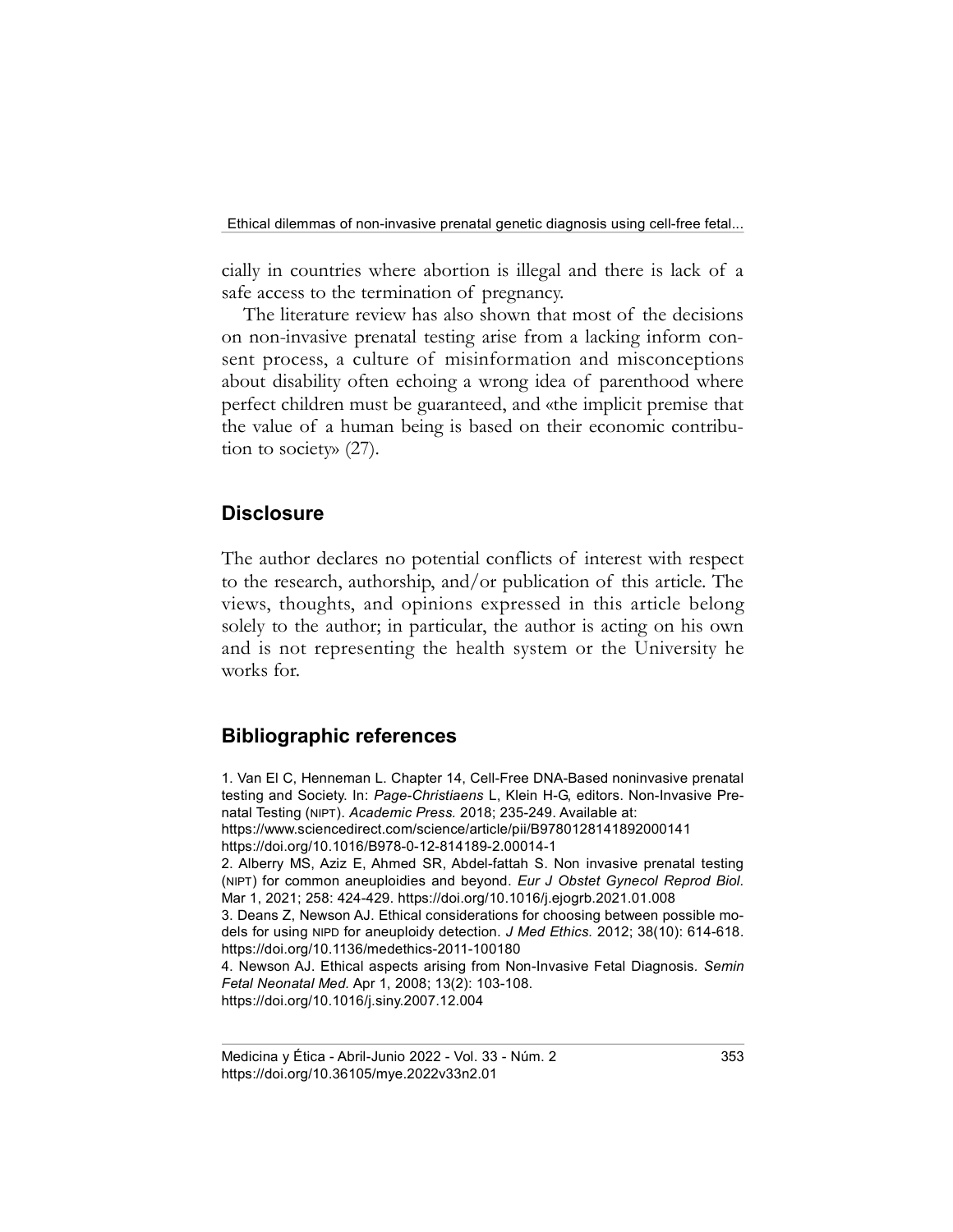cially in countries where abortion is illegal and there is lack of a safe access to the termination of pregnancy.

The literature review has also shown that most of the decisions on non-invasive prenatal testing arise from a lacking inform consent process, a culture of misinformation and misconceptions about disability often echoing a wrong idea of parenthood where perfect children must be guaranteed, and «the implicit premise that the value of a human being is based on their economic contribution to society» (27).

#### **Disclosure**

The author declares no potential conflicts of interest with respect to the research, authorship, and/or publication of this article. The views, thoughts, and opinions expressed in this article belong solely to the author; in particular, the author is acting on his own and is not representing the health system or the University he works for.

#### Bibliographic references

1. Van El C, Henneman L. Chapter 14, Cell-Free DNA-Based noninvasive prenatal testing and Society. In: Page-Christiaens L, Klein H-G, editors. Non-Invasive Prenatal Testing (NIPT). Academic Press. 2018; 235-249. Available at: https://www.sciencedirect.com/science/article/pii/B9780128141892000141 https://doi.org/10.1016/B978-0-12-814189-2.00014-1 2. Alberry MS, Aziz E, Ahmed SR, Abdel-fattah S. Non invasive prenatal testing (NIPT) for common aneuploidies and beyond. Eur J Obstet Gynecol Reprod Biol. Mar 1, 2021; 258: 424-429. https://doi.org/10.1016/j.ejogrb.2021.01.008 3. Deans Z, Newson AJ. Ethical considerations for choosing between possible models for using NIPD for aneuploidy detection. J Med Ethics. 2012; 38(10): 614-618. https://doi.org/10.1136/medethics-2011-100180 4. Newson AJ. Ethical aspects arising from Non-Invasive Fetal Diagnosis. Semin Fetal Neonatal Med. Apr 1, 2008; 13(2): 103-108. https://doi.org/10.1016/j.siny.2007.12.004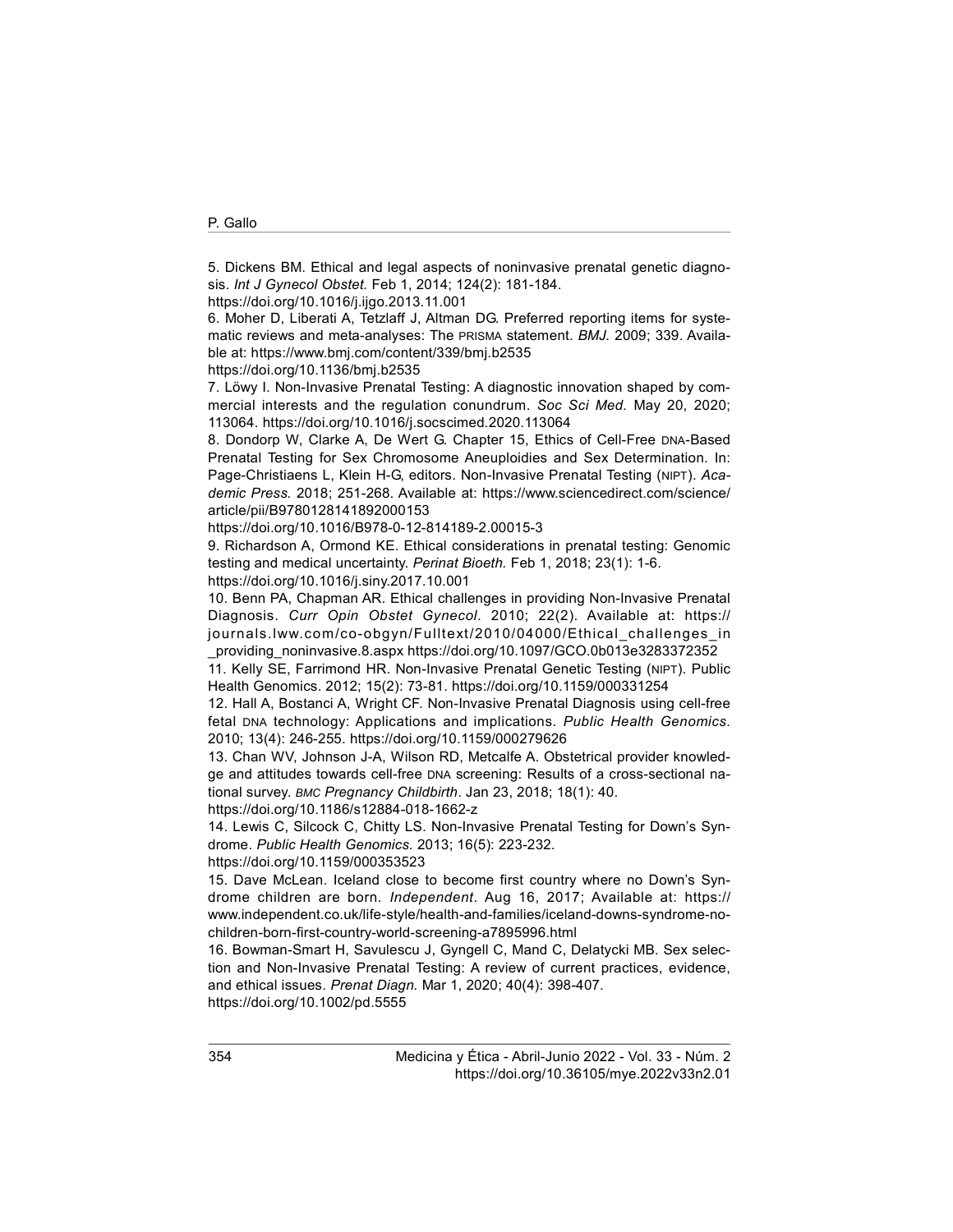5. Dickens BM. Ethical and legal aspects of noninvasive prenatal genetic diagnosis. Int J Gynecol Obstet. Feb 1, 2014; 124(2): 181-184.

https://doi.org/10.1016/j.ijgo.2013.11.001

6. Moher D, Liberati A, Tetzlaff J, Altman DG. Preferred reporting items for systematic reviews and meta-analyses: The PRISMA statement. BMJ. 2009; 339. Available at: https://www.bmj.com/content/339/bmj.b2535

https://doi.org/10.1136/bmj.b2535

7. Löwy I. Non-Invasive Prenatal Testing: A diagnostic innovation shaped by commercial interests and the regulation conundrum. Soc Sci Med. May 20, 2020; 113064. https://doi.org/10.1016/j.socscimed.2020.113064

8. Dondorp W, Clarke A, De Wert G. Chapter 15, Ethics of Cell-Free DNA-Based Prenatal Testing for Sex Chromosome Aneuploidies and Sex Determination. In: Page-Christiaens L, Klein H-G, editors. Non-Invasive Prenatal Testing (NIPT). Academic Press. 2018; 251-268. Available at: https://www.sciencedirect.com/science/ article/pii/B9780128141892000153

https://doi.org/10.1016/B978-0-12-814189-2.00015-3

9. Richardson A, Ormond KE. Ethical considerations in prenatal testing: Genomic testing and medical uncertainty. Perinat Bioeth. Feb 1, 2018; 23(1): 1-6. https://doi.org/10.1016/j.siny.2017.10.001

10. Benn PA, Chapman AR. Ethical challenges in providing Non-Invasive Prenatal Diagnosis. Curr Opin Obstet Gynecol. 2010; 22(2). Available at: https:// journals.lww.com/co-obgyn/Fulltext/2010/04000/Ethical\_challenges\_in

\_providing\_noninvasive.8.aspx https://doi.org/10.1097/GCO.0b013e3283372352

11. Kelly SE, Farrimond HR. Non-Invasive Prenatal Genetic Testing (NIPT). Public Health Genomics. 2012; 15(2): 73-81. https://doi.org/10.1159/000331254

12. Hall A, Bostanci A, Wright CF. Non-Invasive Prenatal Diagnosis using cell-free fetal DNA technology: Applications and implications. Public Health Genomics. 2010; 13(4): 246-255. https://doi.org/10.1159/000279626

13. Chan WV, Johnson J-A, Wilson RD, Metcalfe A. Obstetrical provider knowledge and attitudes towards cell-free DNA screening: Results of a cross-sectional national survey. BMC Pregnancy Childbirth. Jan 23, 2018; 18(1): 40.

https://doi.org/10.1186/s12884-018-1662-z

14. Lewis C, Silcock C, Chitty LS. Non-Invasive Prenatal Testing for Down's Syndrome. Public Health Genomics. 2013; 16(5): 223-232.

https://doi.org/10.1159/000353523

15. Dave McLean. Iceland close to become first country where no Down's Syndrome children are born. Independent. Aug 16, 2017; Available at: https:// www.independent.co.uk/life-style/health-and-families/iceland-downs-syndrome-nochildren-born-first-country-world-screening-a7895996.html

16. Bowman-Smart H, Savulescu J, Gyngell C, Mand C, Delatycki MB. Sex selection and Non-Invasive Prenatal Testing: A review of current practices, evidence, and ethical issues. Prenat Diagn. Mar 1, 2020; 40(4): 398-407. https://doi.org/10.1002/pd.5555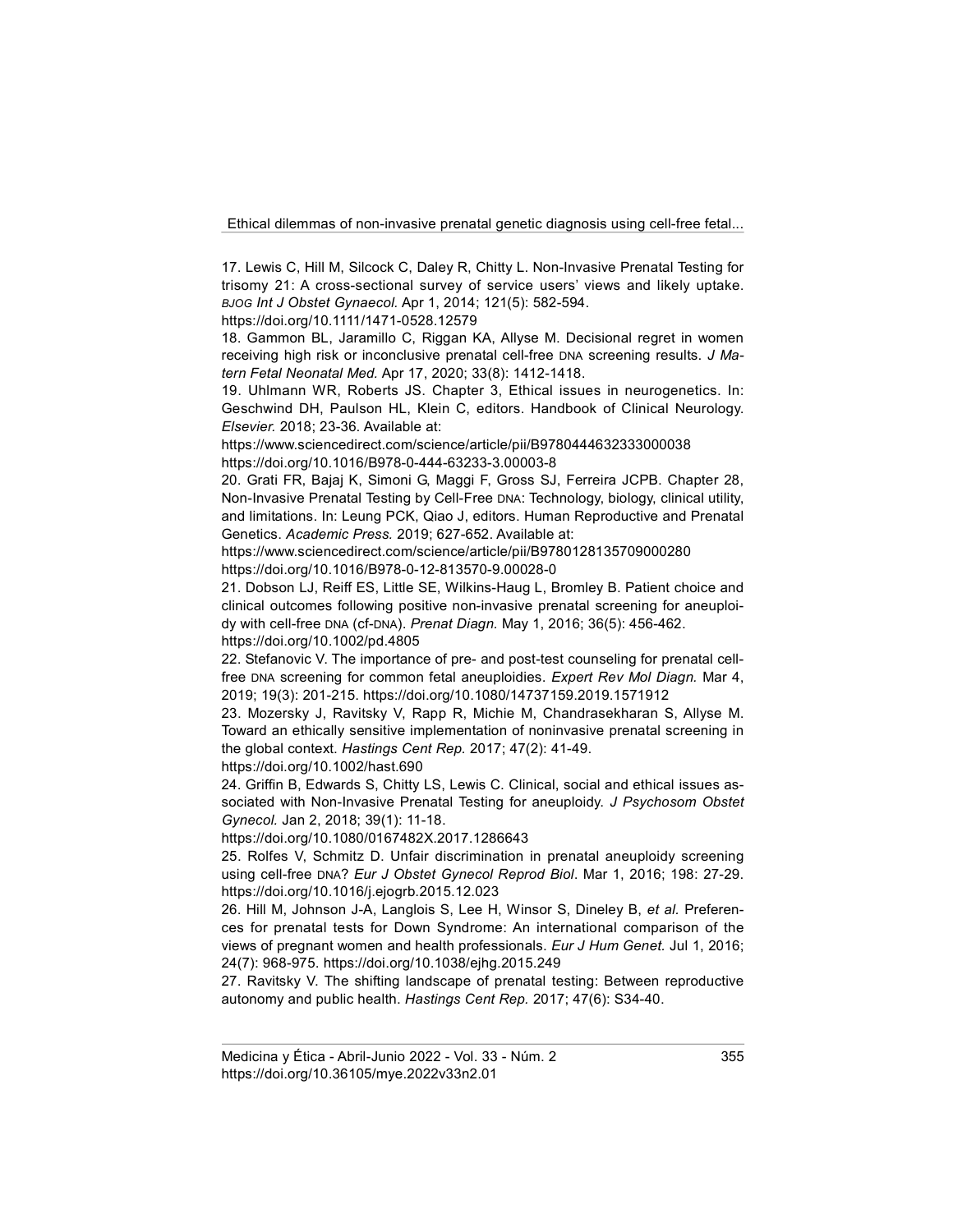17. Lewis C, Hill M, Silcock C, Daley R, Chitty L. Non-Invasive Prenatal Testing for trisomy 21: A cross-sectional survey of service users' views and likely uptake. BJOG Int J Obstet Gynaecol. Apr 1, 2014; 121(5): 582-594.

https://doi.org/10.1111/1471-0528.12579

18. Gammon BL, Jaramillo C, Riggan KA, Allyse M. Decisional regret in women receiving high risk or inconclusive prenatal cell-free DNA screening results. J Matern Fetal Neonatal Med. Apr 17, 2020; 33(8): 1412-1418.

19. Uhlmann WR, Roberts JS. Chapter 3, Ethical issues in neurogenetics. In: Geschwind DH, Paulson HL, Klein C, editors. Handbook of Clinical Neurology. Elsevier. 2018; 23-36. Available at:

https://www.sciencedirect.com/science/article/pii/B9780444632333000038 https://doi.org/10.1016/B978-0-444-63233-3.00003-8

20. Grati FR, Bajaj K, Simoni G, Maggi F, Gross SJ, Ferreira JCPB. Chapter 28, Non-Invasive Prenatal Testing by Cell-Free DNA: Technology, biology, clinical utility, and limitations. In: Leung PCK, Qiao J, editors. Human Reproductive and Prenatal Genetics. Academic Press. 2019; 627-652. Available at:

https://www.sciencedirect.com/science/article/pii/B9780128135709000280 https://doi.org/10.1016/B978-0-12-813570-9.00028-0

21. Dobson LJ, Reiff ES, Little SE, Wilkins-Haug L, Bromley B. Patient choice and clinical outcomes following positive non-invasive prenatal screening for aneuploidy with cell-free DNA (cf-DNA). Prenat Diagn. May 1, 2016; 36(5): 456-462. https://doi.org/10.1002/pd.4805

22. Stefanovic V. The importance of pre- and post-test counseling for prenatal cellfree DNA screening for common fetal aneuploidies. Expert Rev Mol Diagn. Mar 4, 2019; 19(3): 201-215. https://doi.org/10.1080/14737159.2019.1571912

23. Mozersky J, Ravitsky V, Rapp R, Michie M, Chandrasekharan S, Allyse M. Toward an ethically sensitive implementation of noninvasive prenatal screening in the global context. Hastings Cent Rep. 2017; 47(2): 41-49.

https://doi.org/10.1002/hast.690

24. Griffin B, Edwards S, Chitty LS, Lewis C. Clinical, social and ethical issues associated with Non-Invasive Prenatal Testing for aneuploidy. J Psychosom Obstet Gynecol. Jan 2, 2018; 39(1): 11-18.

https://doi.org/10.1080/0167482X.2017.1286643

25. Rolfes V, Schmitz D. Unfair discrimination in prenatal aneuploidy screening using cell-free DNA? Eur J Obstet Gynecol Reprod Biol. Mar 1, 2016; 198: 27-29. https://doi.org/10.1016/j.ejogrb.2015.12.023

26. Hill M, Johnson J-A, Langlois S, Lee H, Winsor S, Dineley B, et al. Preferences for prenatal tests for Down Syndrome: An international comparison of the views of pregnant women and health professionals. Eur J Hum Genet. Jul 1, 2016; 24(7): 968-975. https://doi.org/10.1038/ejhg.2015.249

27. Ravitsky V. The shifting landscape of prenatal testing: Between reproductive autonomy and public health. Hastings Cent Rep. 2017; 47(6): S34-40.